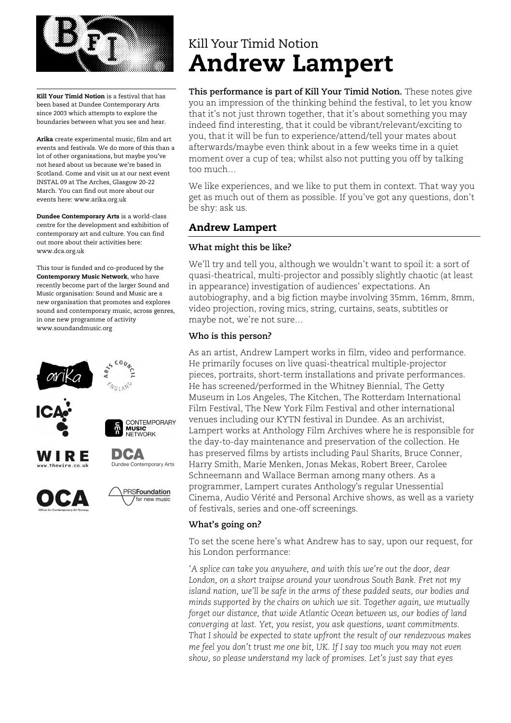

Kill Your Timid Notion is a festival that has been based at Dundee Contemporary Arts since 2003 which attempts to explore the boundaries between what you see and hear.

Arika create experimental music, film and art events and festivals. We do more of this than a lot of other organisations, but maybe you've not heard about us because we're based in Scotland. Come and visit us at our next event INSTAL 09 at The Arches, Glasgow 20-22 March. You can find out more about our events here: www.arika.org.uk

Dundee Contemporary Arts is a world-class centre for the development and exhibition of contemporary art and culture. You can find out more about their activities here: www.dca.org.uk

This tour is funded and co-produced by the Contemporary Music Network, who have recently become part of the larger Sound and Music organisation: Sound and Music are a new organisation that promotes and explores sound and contemporary music, across genres, in one new programme of activity www.soundandmusic.org



# Kill Your Timid Notion Andrew Lampert

**This performance is part of Kill Your Timid Notion.** These notes give you an impression of the thinking behind the festival, to let you know that it's not just thrown together, that it's about something you may indeed find interesting, that it could be vibrant/relevant/exciting to you, that it will be fun to experience/attend/tell your mates about afterwards/maybe even think about in a few weeks time in a quiet moment over a cup of tea; whilst also not putting you off by talking too much…

We like experiences, and we like to put them in context. That way you get as much out of them as possible. If you've got any questions, don't be shy: ask us.

## Andrew Lampert

## **What might this be like?**

We'll try and tell you, although we wouldn't want to spoil it: a sort of quasi-theatrical, multi-projector and possibly slightly chaotic (at least in appearance) investigation of audiences' expectations. An autobiography, and a big fiction maybe involving 35mm, 16mm, 8mm, video projection, roving mics, string, curtains, seats, subtitles or maybe not, we're not sure…

## **Who is this person?**

As an artist, Andrew Lampert works in film, video and performance. He primarily focuses on live quasi-theatrical multiple-projector pieces, portraits, short-term installations and private performances. He has screened/performed in the Whitney Biennial, The Getty Museum in Los Angeles, The Kitchen, The Rotterdam International Film Festival, The New York Film Festival and other international venues including our KYTN festival in Dundee. As an archivist, Lampert works at Anthology Film Archives where he is responsible for the day-to-day maintenance and preservation of the collection. He has preserved films by artists including Paul Sharits, Bruce Conner, Harry Smith, Marie Menken, Jonas Mekas, Robert Breer, Carolee Schneemann and Wallace Berman among many others. As a programmer, Lampert curates Anthology's regular Unessential Cinema, Audio Vérité and Personal Archive shows, as well as a variety of festivals, series and one-off screenings.

### **What's going on?**

To set the scene here's what Andrew has to say, upon our request, for his London performance:

*'A splice can take you anywhere, and with this we're out the door, dear London, on a short traipse around your wondrous South Bank. Fret not my island nation, we'll be safe in the arms of these padded seats, our bodies and minds supported by the chairs on which we sit. Together again, we mutually forget our distance, that wide Atlantic Ocean between us, our bodies of land converging at last. Yet, you resist, you ask questions, want commitments. That I should be expected to state upfront the result of our rendezvous makes me feel you don't trust me one bit, UK. If I say too much you may not even show, so please understand my lack of promises. Let's just say that eyes*